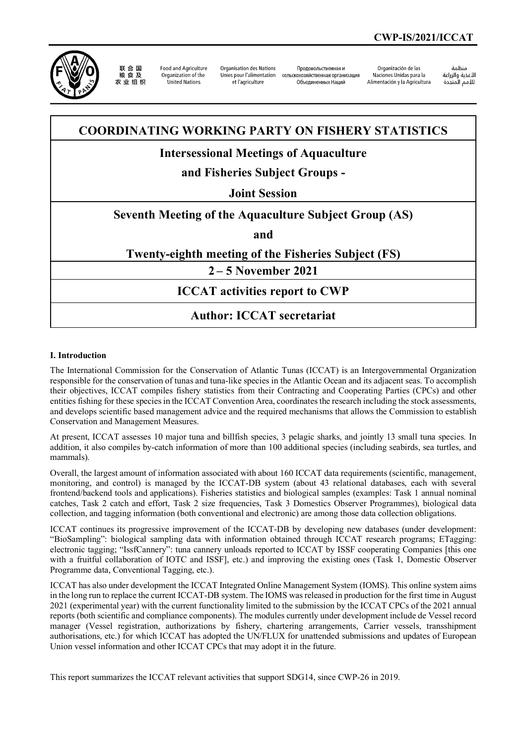

联合国 农业组织

**Ennd and Agriculture** Organization of the United Nations

Organisation des Nations Unies pour l'alimentation et l'agriculture

Проловольственная и сельскохозяйственная организация Объединенных Наций

Organización de las Naciones Unidas para la Alimentación y la Agricultura

änhin الأغذية والزراعة التعدية والزراعة<br>للأمم المتحدة

# **COORDINATING WORKING PARTY ON FISHERY STATISTICS**

## **Intersessional Meetings of Aquaculture**

# **and Fisheries Subject Groups -**

### **Joint Session**

### **Seventh Meeting of the Aquaculture Subject Group (AS)**

**and**

### **Twenty-eighth meeting of the Fisheries Subject (FS)**

**2 – 5 November 2021**

## **ICCAT activities report to CWP**

# **Author: ICCAT secretariat**

#### **I. Introduction**

The International Commission for the Conservation of Atlantic Tunas (ICCAT) is an Intergovernmental Organization responsible for the conservation of tunas and tuna-like species in the Atlantic Ocean and its adjacent seas. To accomplish their objectives, ICCAT compiles fishery statistics from their Contracting and Cooperating Parties (CPCs) and other entities fishing for these species in the ICCAT Convention Area, coordinates the research including the stock assessments, and develops scientific based management advice and the required mechanisms that allows the Commission to establish Conservation and Management Measures.

At present, ICCAT assesses 10 major tuna and billfish species, 3 pelagic sharks, and jointly 13 small tuna species. In addition, it also compiles by-catch information of more than 100 additional species (including seabirds, sea turtles, and mammals).

Overall, the largest amount of information associated with about 160 ICCAT data requirements (scientific, management, monitoring, and control) is managed by the ICCAT-DB system (about 43 relational databases, each with several frontend/backend tools and applications). Fisheries statistics and biological samples (examples: Task 1 annual nominal catches, Task 2 catch and effort, Task 2 size frequencies, Task 3 Domestics Observer Programmes), biological data collection, and tagging information (both conventional and electronic) are among those data collection obligations.

ICCAT continues its progressive improvement of the ICCAT-DB by developing new databases (under development: "BioSampling": biological sampling data with information obtained through ICCAT research programs; ETagging: electronic tagging; "IssfCannery": tuna cannery unloads reported to ICCAT by ISSF cooperating Companies [this one with a fruitful collaboration of IOTC and ISSF], etc.) and improving the existing ones (Task 1, Domestic Observer Programme data, Conventional Tagging, etc.).

ICCAT has also under development the ICCAT Integrated Online Management System (IOMS). This online system aims in the long run to replace the current ICCAT-DB system. The IOMS was released in production for the first time in August 2021 (experimental year) with the current functionality limited to the submission by the ICCAT CPCs of the 2021 annual reports (both scientific and compliance components). The modules currently under development include de Vessel record manager (Vessel registration, authorizations by fishery, chartering arrangements, Carrier vessels, transshipment authorisations, etc.) for which ICCAT has adopted the UN/FLUX for unattended submissions and updates of European Union vessel information and other ICCAT CPCs that may adopt it in the future.

This report summarizes the ICCAT relevant activities that support SDG14, since CWP-26 in 2019.